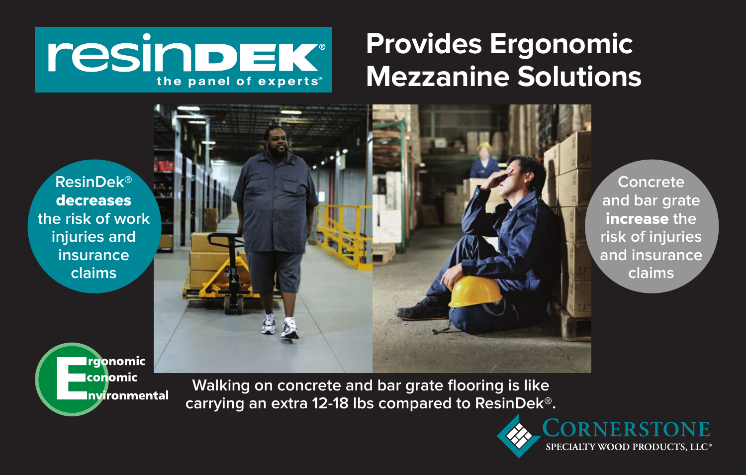# *resindEK®* the panel of experts

# **Provides Ergonomic Mezzanine Solutions**

**ResinDek®**  decreases **the risk of work injuries and insurance claims**



**Walking on concrete and bar grate flooring is like carrying an extra 12-18 lbs compared to ResinDek®.**



**Concrete and bar grate** increase **the risk of injuries and insurance claims**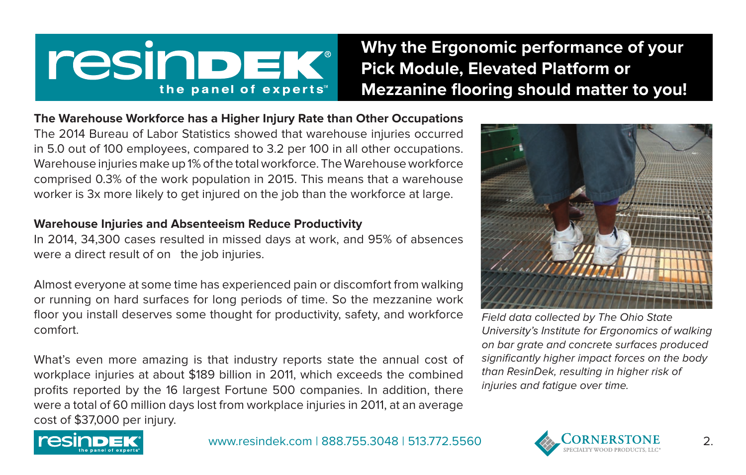# *TESINDEK®* the panel of experts

**Why the Ergonomic performance of your Pick Module, Elevated Platform or Mezzanine flooring should matter to you!**

**The Warehouse Workforce has a Higher Injury Rate than Other Occupations** The 2014 Bureau of Labor Statistics showed that warehouse injuries occurred in 5.0 out of 100 employees, compared to 3.2 per 100 in all other occupations. Warehouse injuries make up 1% of the total workforce. The Warehouse workforce comprised 0.3% of the work population in 2015. This means that a warehouse worker is 3x more likely to get injured on the job than the workforce at large.

### **Warehouse Injuries and Absenteeism Reduce Productivity**

In 2014, 34,300 cases resulted in missed days at work, and 95% of absences were a direct result of on the job injuries.

Almost everyone at some time has experienced pain or discomfort from walking or running on hard surfaces for long periods of time. So the mezzanine work floor you install deserves some thought for productivity, safety, and workforce comfort.

What's even more amazing is that industry reports state the annual cost of workplace injuries at about \$189 billion in 2011, which exceeds the combined profits reported by the 16 largest Fortune 500 companies. In addition, there were a total of 60 million days lost from workplace injuries in 2011, at an average cost of \$37,000 per injury.



Field data collected by The Ohio State University's Institute for Ergonomics of walking on bar grate and concrete surfaces produced significantly higher impact forces on the body than ResinDek, resulting in higher risk of injuries and fatigue over time.



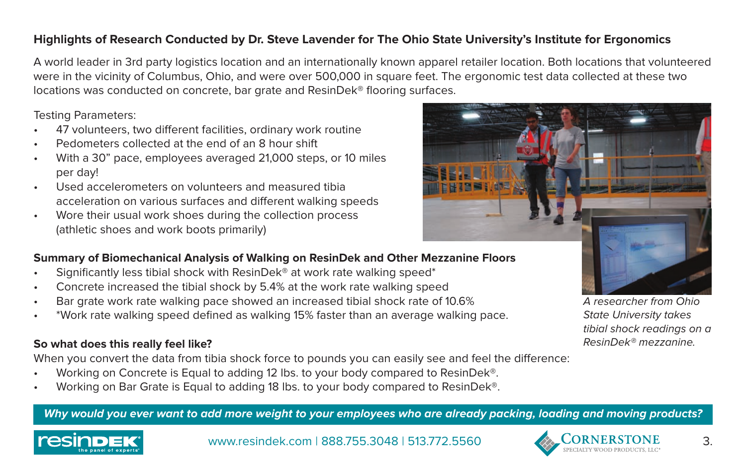## **Highlights of Research Conducted by Dr. Steve Lavender for The Ohio State University's Institute for Ergonomics**

A world leader in 3rd party logistics location and an internationally known apparel retailer location. Both locations that volunteered were in the vicinity of Columbus, Ohio, and were over 500,000 in square feet. The ergonomic test data collected at these two locations was conducted on concrete, bar grate and ResinDek® flooring surfaces.

Testing Parameters:

- 47 volunteers, two different facilities, ordinary work routine
- Pedometers collected at the end of an 8 hour shift
- With a 30" pace, employees averaged 21,000 steps, or 10 miles per day!
- Used accelerometers on volunteers and measured tibia acceleration on various surfaces and different walking speeds
- Wore their usual work shoes during the collection process (athletic shoes and work boots primarily)

# **Summary of Biomechanical Analysis of Walking on ResinDek and Other Mezzanine Floors**

- Significantly less tibial shock with ResinDek<sup>®</sup> at work rate walking speed<sup>\*</sup>
- Concrete increased the tibial shock by 5.4% at the work rate walking speed
- Bar grate work rate walking pace showed an increased tibial shock rate of 10.6%
- \*Work rate walking speed defined as walking 15% faster than an average walking pace.

## **So what does this really feel like?**

When you convert the data from tibia shock force to pounds you can easily see and feel the difference:

- Working on Concrete is Equal to adding 12 lbs. to your body compared to ResinDek®.
- Working on Bar Grate is Equal to adding 18 lbs. to your body compared to ResinDek®.

#### **Why would you ever want to add more weight to your employees who are already packing, loading and moving products?**



www.resindek.com | 888.755.3048 | 513.772.5560  $\bullet$  CORNERSTONE 3.



A researcher from Ohio State University takes tibial shock readings on a ResinDek® mezzanine.